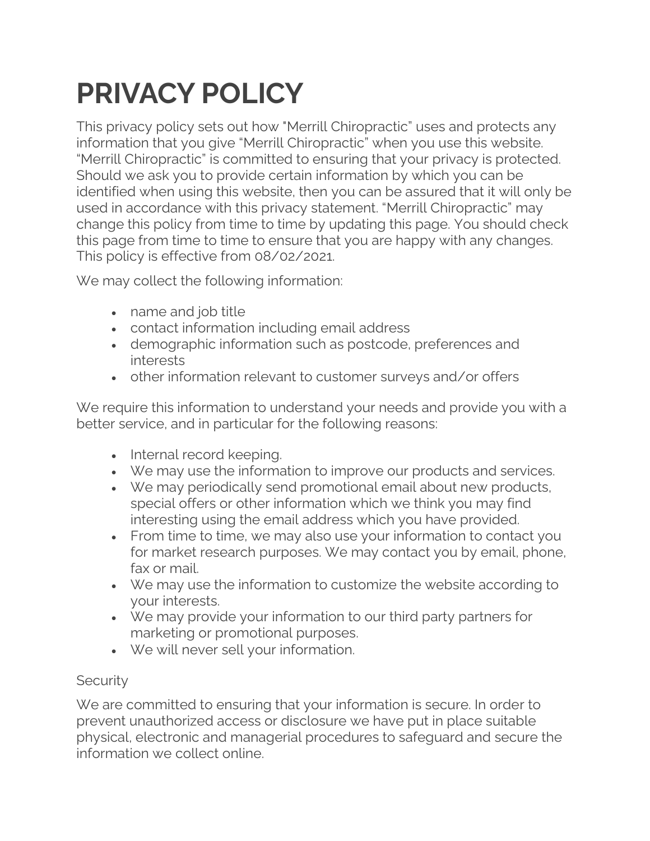## **PRIVACY POLICY**

This privacy policy sets out how "Merrill Chiropractic" uses and protects any information that you give "Merrill Chiropractic" when you use this website. "Merrill Chiropractic" is committed to ensuring that your privacy is protected. Should we ask you to provide certain information by which you can be identified when using this website, then you can be assured that it will only be used in accordance with this privacy statement. "Merrill Chiropractic" may change this policy from time to time by updating this page. You should check this page from time to time to ensure that you are happy with any changes. This policy is effective from 08/02/2021.

We may collect the following information:

- name and job title
- contact information including email address
- demographic information such as postcode, preferences and interests
- other information relevant to customer surveys and/or offers

We require this information to understand your needs and provide you with a better service, and in particular for the following reasons:

- Internal record keeping.
- We may use the information to improve our products and services.
- We may periodically send promotional email about new products, special offers or other information which we think you may find interesting using the email address which you have provided.
- From time to time, we may also use your information to contact you for market research purposes. We may contact you by email, phone, fax or mail.
- We may use the information to customize the website according to your interests.
- We may provide your information to our third party partners for marketing or promotional purposes.
- We will never sell your information.

## **Security**

We are committed to ensuring that your information is secure. In order to prevent unauthorized access or disclosure we have put in place suitable physical, electronic and managerial procedures to safeguard and secure the information we collect online.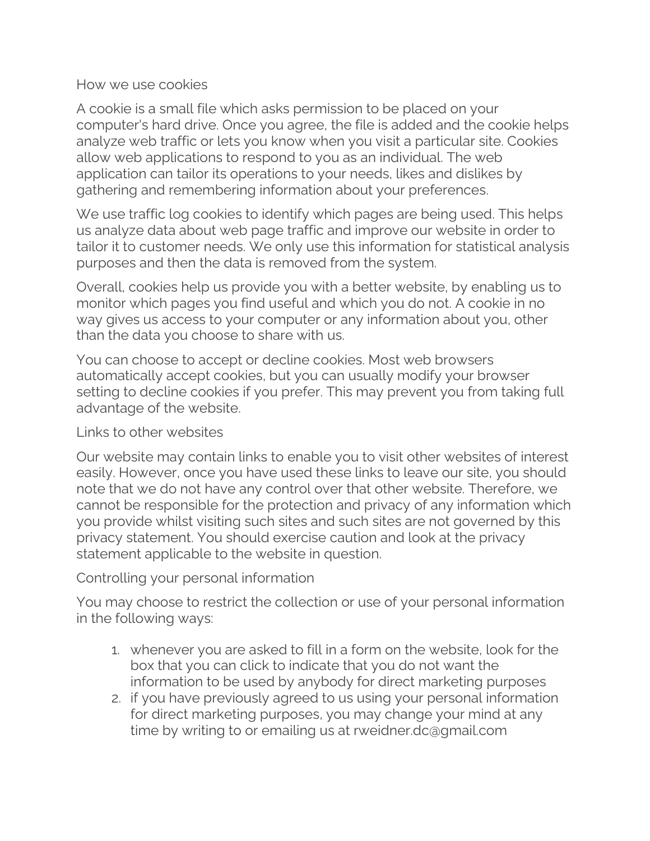How we use cookies

A cookie is a small file which asks permission to be placed on your computer's hard drive. Once you agree, the file is added and the cookie helps analyze web traffic or lets you know when you visit a particular site. Cookies allow web applications to respond to you as an individual. The web application can tailor its operations to your needs, likes and dislikes by gathering and remembering information about your preferences.

We use traffic log cookies to identify which pages are being used. This helps us analyze data about web page traffic and improve our website in order to tailor it to customer needs. We only use this information for statistical analysis purposes and then the data is removed from the system.

Overall, cookies help us provide you with a better website, by enabling us to monitor which pages you find useful and which you do not. A cookie in no way gives us access to your computer or any information about you, other than the data you choose to share with us.

You can choose to accept or decline cookies. Most web browsers automatically accept cookies, but you can usually modify your browser setting to decline cookies if you prefer. This may prevent you from taking full advantage of the website.

## Links to other websites

Our website may contain links to enable you to visit other websites of interest easily. However, once you have used these links to leave our site, you should note that we do not have any control over that other website. Therefore, we cannot be responsible for the protection and privacy of any information which you provide whilst visiting such sites and such sites are not governed by this privacy statement. You should exercise caution and look at the privacy statement applicable to the website in question.

Controlling your personal information

You may choose to restrict the collection or use of your personal information in the following ways:

- 1. whenever you are asked to fill in a form on the website, look for the box that you can click to indicate that you do not want the information to be used by anybody for direct marketing purposes
- 2. if you have previously agreed to us using your personal information for direct marketing purposes, you may change your mind at any time by writing to or emailing us at rweidner.dc@gmail.com